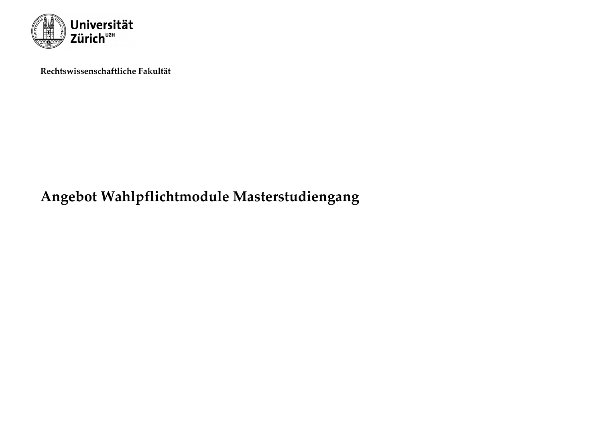

**Rechtswissenschaftliche Fakultät**

# **Angebot Wahlpflichtmodule Masterstudiengang**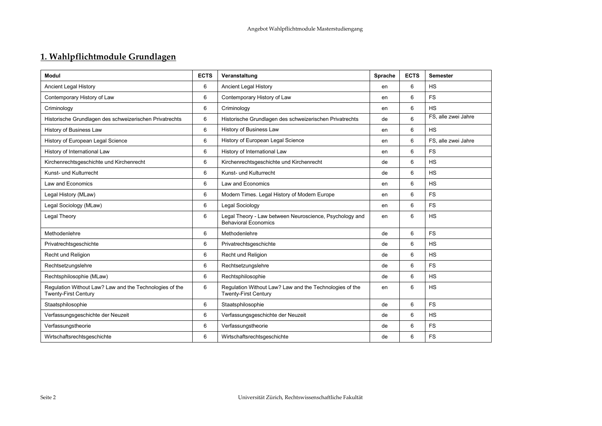## **1. Wahlpflichtmodule Grundlagen**

| Modul                                                                                  | <b>ECTS</b> | Veranstaltung                                                                          | Sprache | <b>ECTS</b> | <b>Semester</b>     |
|----------------------------------------------------------------------------------------|-------------|----------------------------------------------------------------------------------------|---------|-------------|---------------------|
| <b>Ancient Legal History</b>                                                           | 6           | <b>Ancient Legal History</b>                                                           | en      | 6           | <b>HS</b>           |
| Contemporary History of Law                                                            | 6           | Contemporary History of Law                                                            | en      | 6           | <b>FS</b>           |
| Criminology                                                                            | 6           | Criminology                                                                            | en      | 6           | <b>HS</b>           |
| Historische Grundlagen des schweizerischen Privatrechts                                | 6           | Historische Grundlagen des schweizerischen Privatrechts                                | de      | 6           | FS, alle zwei Jahre |
| History of Business Law                                                                | 6           | History of Business Law                                                                | en      | 6           | <b>HS</b>           |
| History of European Legal Science                                                      | 6           | History of European Legal Science                                                      | en      | 6           | FS, alle zwei Jahre |
| History of International Law                                                           | 6           | History of International Law                                                           | en      | 6           | <b>FS</b>           |
| Kirchenrechtsgeschichte und Kirchenrecht                                               | 6           | Kirchenrechtsgeschichte und Kirchenrecht                                               | de      | 6           | <b>HS</b>           |
| Kunst- und Kulturrecht                                                                 | 6           | Kunst- und Kulturrecht                                                                 | de      | 6           | <b>HS</b>           |
| Law and Economics                                                                      | 6           | Law and Economics                                                                      | en      | 6           | <b>HS</b>           |
| Legal History (MLaw)                                                                   | 6           | Modern Times. Legal History of Modern Europe                                           | en      | 6           | <b>FS</b>           |
| Legal Sociology (MLaw)                                                                 | 6           | Legal Sociology                                                                        | en      | 6           | <b>FS</b>           |
| Legal Theory                                                                           | 6           | Legal Theory - Law between Neuroscience, Psychology and<br><b>Behavioral Economics</b> | en      | 6           | <b>HS</b>           |
| Methodenlehre                                                                          | 6           | Methodenlehre                                                                          | de      | 6           | <b>FS</b>           |
| Privatrechtsgeschichte                                                                 | 6           | Privatrechtsgeschichte                                                                 | de      | 6           | <b>HS</b>           |
| Recht und Religion                                                                     | 6           | Recht und Religion                                                                     | de      | 6           | <b>HS</b>           |
| Rechtsetzungslehre                                                                     | 6           | Rechtsetzungslehre                                                                     | de      | 6           | <b>FS</b>           |
| Rechtsphilosophie (MLaw)                                                               | 6           | Rechtsphilosophie                                                                      | de      | 6           | <b>HS</b>           |
| Regulation Without Law? Law and the Technologies of the<br><b>Twenty-First Century</b> | 6           | Regulation Without Law? Law and the Technologies of the<br><b>Twenty-First Century</b> | en      | 6           | <b>HS</b>           |
| Staatsphilosophie                                                                      | 6           | Staatsphilosophie                                                                      | de      | 6           | <b>FS</b>           |
| Verfassungsgeschichte der Neuzeit                                                      | 6           | Verfassungsgeschichte der Neuzeit                                                      | de      | 6           | <b>HS</b>           |
| Verfassungstheorie                                                                     | 6           | Verfassungstheorie                                                                     | de      | 6           | <b>FS</b>           |
| Wirtschaftsrechtsgeschichte                                                            | 6           | Wirtschaftsrechtsgeschichte                                                            | de      | 6           | <b>FS</b>           |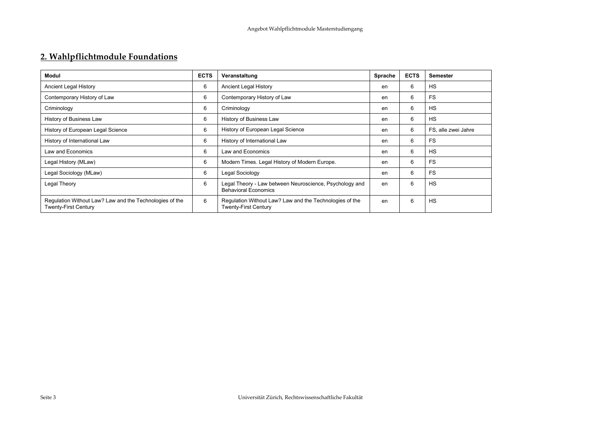## **2. Wahlpflichtmodule Foundations**

| <b>Modul</b>                                                                           | <b>ECTS</b> | Veranstaltung                                                                          | Sprache | <b>ECTS</b> | <b>Semester</b>     |
|----------------------------------------------------------------------------------------|-------------|----------------------------------------------------------------------------------------|---------|-------------|---------------------|
| Ancient Legal History                                                                  | 6           | Ancient Legal History                                                                  | en      | 6           | <b>HS</b>           |
| Contemporary History of Law                                                            | 6           | Contemporary History of Law                                                            | en      | 6           | <b>FS</b>           |
| Criminology                                                                            | 6           | Criminology                                                                            | en      | 6           | <b>HS</b>           |
| History of Business Law                                                                | 6           | History of Business Law                                                                | en      | 6           | <b>HS</b>           |
| History of European Legal Science                                                      | 6           | History of European Legal Science                                                      | en      | 6           | FS, alle zwei Jahre |
| History of International Law                                                           | 6           | History of International Law                                                           | en      | 6           | <b>FS</b>           |
| Law and Economics                                                                      | 6           | <b>Law and Economics</b>                                                               | en      | 6           | <b>HS</b>           |
| Legal History (MLaw)                                                                   | 6           | Modern Times. Legal History of Modern Europe.                                          | en      | 6           | <b>FS</b>           |
| Legal Sociology (MLaw)                                                                 | 6           | Legal Sociology                                                                        | en      | 6           | <b>FS</b>           |
| Legal Theory                                                                           | 6           | Legal Theory - Law between Neuroscience, Psychology and<br><b>Behavioral Economics</b> | en      | 6           | <b>HS</b>           |
| Regulation Without Law? Law and the Technologies of the<br><b>Twenty-First Century</b> | 6           | Regulation Without Law? Law and the Technologies of the<br><b>Twenty-First Century</b> | en      | 6           | <b>HS</b>           |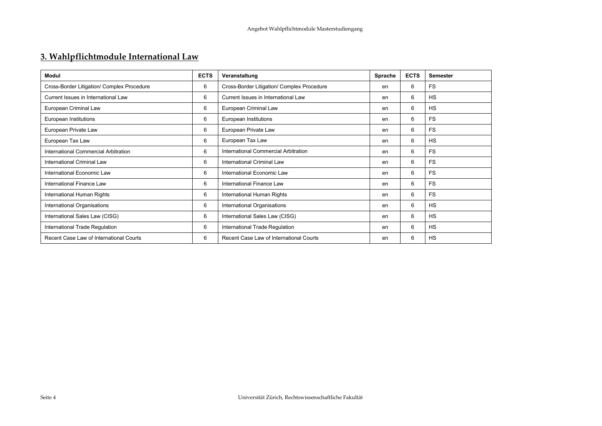## **3. Wahlpflichtmodule International Law**

| <b>Modul</b>                               | <b>ECTS</b> | Veranstaltung                              | Sprache | <b>ECTS</b> | <b>Semester</b> |
|--------------------------------------------|-------------|--------------------------------------------|---------|-------------|-----------------|
| Cross-Border Litigation/ Complex Procedure | 6           | Cross-Border Litigation/ Complex Procedure | en      | 6           | <b>FS</b>       |
| Current Issues in International Law        | 6           | Current Issues in International Law        | en      | 6           | <b>HS</b>       |
| European Criminal Law                      | 6           | European Criminal Law                      | en      | 6           | <b>HS</b>       |
| European Institutions                      | 6           | European Institutions                      | en      | 6           | <b>FS</b>       |
| European Private Law                       | 6           | European Private Law                       | en      | 6           | <b>FS</b>       |
| European Tax Law                           | 6           | European Tax Law                           | en      | 6           | <b>HS</b>       |
| International Commercial Arbitration       | 6           | International Commercial Arbitration       | en      | 6           | <b>FS</b>       |
| International Criminal Law                 | 6           | International Criminal Law                 | en      | 6           | <b>FS</b>       |
| International Economic Law                 | 6           | International Economic Law                 | en      | 6           | <b>FS</b>       |
| International Finance Law                  | 6           | International Finance Law                  | en      | 6           | <b>FS</b>       |
| International Human Rights                 | 6           | International Human Rights                 | en      | 6           | <b>FS</b>       |
| International Organisations                | 6           | International Organisations                | en      | 6           | <b>HS</b>       |
| International Sales Law (CISG)             | 6           | International Sales Law (CISG)             | en      | 6           | <b>HS</b>       |
| International Trade Regulation             | 6           | International Trade Regulation             | en      | 6           | <b>HS</b>       |
| Recent Case Law of International Courts    | 6           | Recent Case Law of International Courts    | en      | 6           | <b>HS</b>       |